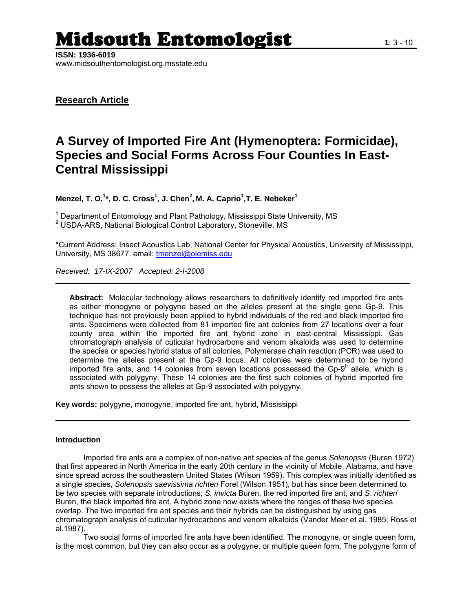# Midsouth Entomologist **1**: 3 - 10

**ISSN: 1936-6019**  www.midsouthentomologist.org.msstate.edu

**Research Article**

## **A Survey of Imported Fire Ant (Hymenoptera: Formicidae), Species and Social Forms Across Four Counties In East-Central Mississippi**

**Menzel, T. O.<sup>1</sup> \*, D. C. Cross<sup>1</sup> , J. Chen2 , M. A. Caprio1 ,T. E. Nebeker<sup>1</sup>**

<sup>1</sup> Department of Entomology and Plant Pathology, Mississippi State University, MS<br><sup>2</sup> USDA ADS, National Piclogical Central Leberatory, Stanovilla, MS USDA-ARS, National Biological Control Laboratory, Stoneville, MS

\*Current Address: Insect Acoustics Lab, National Center for Physical Acoustics, University of Mississippi, University, MS 38677. email: [tmenzel@olemiss.edu](mailto:tmenzel@olemiss.edu)

*Received: 17-IX-2007 Accepted: 2-I-2008* 

**Abstract:** Molecular technology allows researchers to definitively identify red imported fire ants as either monogyne or polygyne based on the alleles present at the single gene Gp-9. This technique has not previously been applied to hybrid individuals of the red and black imported fire ants. Specimens were collected from 81 imported fire ant colonies from 27 locations over a four county area within the imported fire ant hybrid zone in east-central Mississippi. Gas chromatograph analysis of cuticular hydrocarbons and venom alkaloids was used to determine the species or species hybrid status of all colonies. Polymerase chain reaction (PCR) was used to determine the alleles present at the Gp-9 locus. All colonies were determined to be hybrid imported fire ants, and 14 colonies from seven locations possessed the Gp-9 $^{\rm b}$  allele, which is associated with polygyny. These 14 colonies are the first such colonies of hybrid imported fire ants shown to possess the alleles at Gp-9 associated with polygyny.

**Key words:** polygyne, monogyne, imported fire ant, hybrid, Mississippi

### **Introduction**

Imported fire ants are a complex of non-native ant species of the genus *Solenopsis* (Buren 1972) that first appeared in North America in the early 20th century in the vicinity of Mobile, Alabama, and have since spread across the southeastern United States (Wilson 1959). This complex was initially identified as a single species, *Solenopsis saevissima richteri* Forel (Wilson 1951), but has since been determined to be two species with separate introductions; *S. invicta* Buren, the red imported fire ant, and *S*. *richteri* Buren, the black imported fire ant. A hybrid zone now exists where the ranges of these two species overlap. The two imported fire ant species and their hybrids can be distinguished by using gas chromatograph analysis of cuticular hydrocarbons and venom alkaloids (Vander Meer et al. 1985; Ross et al.1987).

Two social forms of imported fire ants have been identified. The monogyne, or single queen form, is the most common, but they can also occur as a polygyne, or multiple queen form. The polygyne form of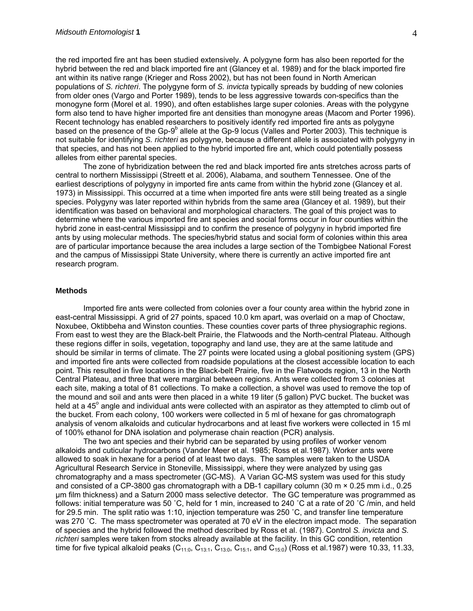the red imported fire ant has been studied extensively. A polygyne form has also been reported for the hybrid between the red and black imported fire ant (Glancey et al. 1989) and for the black imported fire ant within its native range (Krieger and Ross 2002), but has not been found in North American populations of *S. richteri*. The polygyne form of *S. invicta* typically spreads by budding of new colonies from older ones (Vargo and Porter 1989), tends to be less aggressive towards con-specifics than the monogyne form (Morel et al. 1990), and often establishes large super colonies. Areas with the polygyne form also tend to have higher imported fire ant densities than monogyne areas (Macom and Porter 1996). Recent technology has enabled researchers to positively identify red imported fire ants as polygyne based on the presence of the Gp-9 $^{\text{b}}$  allele at the Gp-9 locus (Valles and Porter 2003). This technique is not suitable for identifying *S. richteri* as polygyne, because a different allele is associated with polygyny in that species, and has not been applied to the hybrid imported fire ant, which could potentially possess alleles from either parental species.

 The zone of hybridization between the red and black imported fire ants stretches across parts of central to northern Mississippi (Streett et al. 2006), Alabama, and southern Tennessee. One of the earliest descriptions of polygyny in imported fire ants came from within the hybrid zone (Glancey et al. 1973) in Mississippi. This occurred at a time when imported fire ants were still being treated as a single species. Polygyny was later reported within hybrids from the same area (Glancey et al. 1989), but their identification was based on behavioral and morphological characters. The goal of this project was to determine where the various imported fire ant species and social forms occur in four counties within the hybrid zone in east-central Mississippi and to confirm the presence of polygyny in hybrid imported fire ants by using molecular methods. The species/hybrid status and social form of colonies within this area are of particular importance because the area includes a large section of the Tombigbee National Forest and the campus of Mississippi State University, where there is currently an active imported fire ant research program.

#### **Methods**

 Imported fire ants were collected from colonies over a four county area within the hybrid zone in east-central Mississippi. A grid of 27 points, spaced 10.0 km apart, was overlaid on a map of Choctaw, Noxubee, Oktibbeha and Winston counties. These counties cover parts of three physiographic regions. From east to west they are the Black-belt Prairie, the Flatwoods and the North-central Plateau. Although these regions differ in soils, vegetation, topography and land use, they are at the same latitude and should be similar in terms of climate. The 27 points were located using a global positioning system (GPS) and imported fire ants were collected from roadside populations at the closest accessible location to each point. This resulted in five locations in the Black-belt Prairie, five in the Flatwoods region, 13 in the North Central Plateau, and three that were marginal between regions. Ants were collected from 3 colonies at each site, making a total of 81 collections. To make a collection, a shovel was used to remove the top of the mound and soil and ants were then placed in a white 19 liter (5 gallon) PVC bucket. The bucket was held at a 45° angle and individual ants were collected with an aspirator as they attempted to climb out of the bucket. From each colony, 100 workers were collected in 5 ml of hexane for gas chromatograph analysis of venom alkaloids and cuticular hydrocarbons and at least five workers were collected in 15 ml of 100% ethanol for DNA isolation and polymerase chain reaction (PCR) analysis.

The two ant species and their hybrid can be separated by using profiles of worker venom alkaloids and cuticular hydrocarbons (Vander Meer et al. 1985; Ross et al.1987). Worker ants were allowed to soak in hexane for a period of at least two days. The samples were taken to the USDA Agricultural Research Service in Stoneville, Mississippi, where they were analyzed by using gas chromatography and a mass spectrometer (GC-MS). A Varian GC-MS system was used for this study and consisted of a CP-3800 gas chromatograph with a DB-1 capillary column (30 m × 0.25 mm i.d., 0.25 µm film thickness) and a Saturn 2000 mass selective detector. The GC temperature was programmed as follows: initial temperature was 50 °C, held for 1 min, increased to 240 °C at a rate of 20 °C /min, and held for 29.5 min. The split ratio was 1:10, injection temperature was 250 ˚C, and transfer line temperature was 270 °C. The mass spectrometer was operated at 70 eV in the electron impact mode. The separation of species and the hybrid followed the method described by Ross et al. (1987). Control *S. invicta* and *S. richteri* samples were taken from stocks already available at the facility. In this GC condition, retention time for five typical alkaloid peaks ( $C_{11:0}$ ,  $C_{13:1}$ ,  $C_{13:0}$ ,  $C_{15:1}$ , and  $C_{15:0}$ ) (Ross et al.1987) were 10.33, 11.33,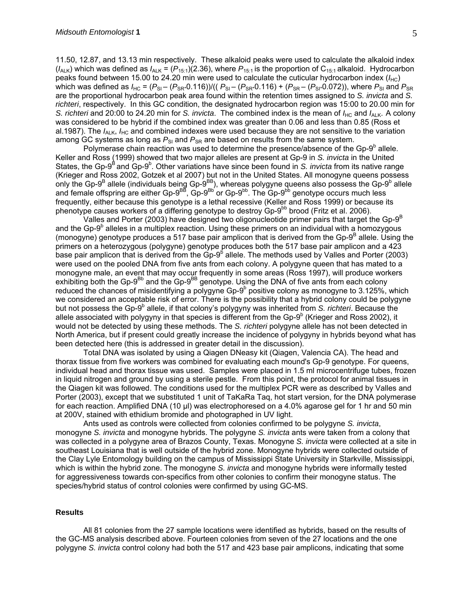11.50, 12.87, and 13.13 min respectively. These alkaloid peaks were used to calculate the alkaloid index  $(I_{ALK})$  which was defined as  $I_{ALK} = (P_{15:1})(2.36)$ , where  $P_{15:1}$  is the proportion of C<sub>15:1</sub> alkaloid. Hydrocarbon peaks found between 15.00 to 24.20 min were used to calculate the cuticular hydrocarbon index  $(I_{HC})$ which was defined as  $I_{HC} = (P_{SI} - (P_{SR} \cdot 0.116))/(P_{SI} - (P_{SR} \cdot 0.116) + (P_{SR} - (P_{SI} \cdot 0.072))$ , where  $P_{SI}$  and  $P_{SR}$ are the proportional hydrocarbon peak area found within the retention times assigned to *S. invicta* and *S. richteri*, respectively. In this GC condition, the designated hydrocarbon region was 15:00 to 20.00 min for *S. richteri* and 20:00 to 24.20 min for *S. invicta*. The combined index is the mean of  $I_{HC}$  and  $I_{ALK}$ . A colony was considered to be hybrid if the combined index was greater than 0.06 and less than 0.85 (Ross et al.1987). The  $I_{\text{ALK}}$ ,  $I_{\text{HC}}$  and combined indexes were used because they are not sensitive to the variation among GC systems as long as  $P_{\text{SI}}$  and  $P_{\text{SR}}$  are based on results from the same system.

Polymerase chain reaction was used to determine the presence/absence of the Gp- $9<sup>b</sup>$  allele. Keller and Ross (1999) showed that two major alleles are present at Gp-9 in *S. invicta* in the United States, the Gp-9<sup>B</sup> and Gp-9<sup>b</sup>. Other variations have since been found in *S. invicta* from its native range (Krieger and Ross 2002, Gotzek et al 2007) but not in the United States. All monogyne queens possess only the Gp-9<sup>B</sup> allele (individuals being Gp-9<sup>BB</sup>), whereas polygyne queens also possess the Gp-9<sup>b</sup> allele and female offspring are either Gp-9<sup>BB</sup>, Gp-9<sup>Bb'</sup> or Gp-9<sup>bb</sup>. The Gp-9<sup>bb</sup> genotype occurs much less frequently, either because this genotype is a lethal recessive (Keller and Ross 1999) or because its phenotype causes workers of a differing genotype to destroy  $Gp-9^{bb}$  brood (Fritz et al. 2006).

Valles and Porter (2003) have designed two oligonucleotide primer pairs that target the Gp-9<sup>B</sup> and the Gp-9<sup>b</sup> alleles in a multiplex reaction. Using these primers on an individual with a homozygous (monogyne) genotype produces a 517 base pair amplicon that is derived from the Gp-9<sup>B</sup> allele. Using the primers on a heterozygous (polygyne) genotype produces both the 517 base pair amplicon and a 423 base pair amplicon that is derived from the Gp-9<sup>b</sup> allele. The methods used by Valles and Porter (2003) were used on the pooled DNA from five ants from each colony. A polygyne queen that has mated to a monogyne male, an event that may occur frequently in some areas (Ross 1997), will produce workers exhibiting both the Gp-9<sup>Bb</sup> and the Gp-9<sup>BB</sup> genotype. Using the DNA of five ants from each colony reduced the chances of misidentifying a polygyne Gp-9 $^{\circ}$  positive colony as monogyne to 3.125%, which we considered an acceptable risk of error. There is the possibility that a hybrid colony could be polygyne but not possess the Gp-9<sup>b</sup> allele, if that colony's polygyny was inherited from *S. richteri*. Because the allele associated with polygyny in that species is different from the Gp-9 $^{\circ}$  (Krieger and Ross 2002), it would not be detected by using these methods. The *S. richteri* polygyne allele has not been detected in North America, but if present could greatly increase the incidence of polygyny in hybrids beyond what has been detected here (this is addressed in greater detail in the discussion).

Total DNA was isolated by using a Qiagen DNeasy kit (Qiagen, Valencia CA). The head and thorax tissue from five workers was combined for evaluating each mound's Gp-9 genotype. For queens, individual head and thorax tissue was used. Samples were placed in 1.5 ml microcentrifuge tubes, frozen in liquid nitrogen and ground by using a sterile pestle. From this point, the protocol for animal tissues in the Qiagen kit was followed. The conditions used for the multiplex PCR were as described by Valles and Porter (2003), except that we substituted 1 unit of TaKaRa Taq, hot start version, for the DNA polymerase for each reaction. Amplified DNA (10 µl) was electrophoresed on a 4.0% agarose gel for 1 hr and 50 min at 200V, stained with ethidium bromide and photographed in UV light.

 Ants used as controls were collected from colonies confirmed to be polygyne *S. invicta*, monogyne *S. invicta* and monogyne hybrids. The polygyne *S. invicta* ants were taken from a colony that was collected in a polygyne area of Brazos County, Texas. Monogyne *S. invicta* were collected at a site in southeast Louisiana that is well outside of the hybrid zone. Monogyne hybrids were collected outside of the Clay Lyle Entomology building on the campus of Mississippi State University in Starkville, Mississippi, which is within the hybrid zone. The monogyne *S. invicta* and monogyne hybrids were informally tested for aggressiveness towards con-specifics from other colonies to confirm their monogyne status. The species/hybrid status of control colonies were confirmed by using GC-MS.

#### **Results**

All 81 colonies from the 27 sample locations were identified as hybrids, based on the results of the GC-MS analysis described above. Fourteen colonies from seven of the 27 locations and the one polygyne *S. invicta* control colony had both the 517 and 423 base pair amplicons, indicating that some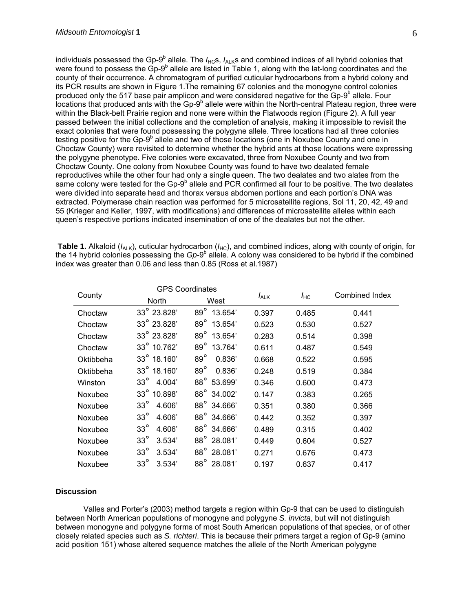individuals possessed the Gp-9<sup>b</sup> allele. The *I*<sub>HC</sub>s, *I*<sub>ALK</sub>s and combined indices of all hybrid colonies that were found to possess the  $Gp-9^b$  allele are listed in Table 1, along with the lat-long coordinates and the county of their occurrence. A chromatogram of purified cuticular hydrocarbons from a hybrid colony and its PCR results are shown in Figure 1.The remaining 67 colonies and the monogyne control colonies produced only the 517 base pair amplicon and were considered negative for the Gp-9<sup>b</sup> allele. Four locations that produced ants with the Gp-9<sup>b</sup> allele were within the North-central Plateau region, three were within the Black-belt Prairie region and none were within the Flatwoods region (Figure 2). A full year passed between the initial collections and the completion of analysis, making it impossible to revisit the exact colonies that were found possessing the polygyne allele. Three locations had all three colonies testing positive for the Gp-9 $^{\circ}$  allele and two of those locations (one in Noxubee County and one in Choctaw County) were revisited to determine whether the hybrid ants at those locations were expressing the polygyne phenotype. Five colonies were excavated, three from Noxubee County and two from Choctaw County. One colony from Noxubee County was found to have two dealated female reproductives while the other four had only a single queen. The two dealates and two alates from the same colony were tested for the Gp-9<sup>b</sup> allele and PCR confirmed all four to be positive. The two dealates were divided into separate head and thorax versus abdomen portions and each portion's DNA was extracted. Polymerase chain reaction was performed for 5 microsatellite regions, Sol 11, 20, 42, 49 and 55 (Krieger and Keller, 1997, with modifications) and differences of microsatellite alleles within each queen's respective portions indicated insemination of one of the dealates but not the other.

**Table 1.** Alkaloid ( $I_{A L K}$ ), cuticular hydrocarbon ( $I_{H C}$ ), and combined indices, along with county of origin, for the 14 hybrid colonies possessing the *Gp*-9<sup>b</sup> allele. A colony was considered to be hybrid if the combined index was greater than 0.06 and less than 0.85 (Ross et al.1987)

| County    | <b>GPS Coordinates</b> |                        |           |          |                |
|-----------|------------------------|------------------------|-----------|----------|----------------|
|           | <b>North</b>           | West                   | $I_{ALK}$ | $I_{HC}$ | Combined Index |
| Choctaw   | 33° 23.828'            | 89° 13.654'            | 0.397     | 0.485    | 0.441          |
| Choctaw   | 33° 23.828'            | $89^\circ$<br>13.654   | 0.523     | 0.530    | 0.527          |
| Choctaw   | 33° 23.828'            | 89° 13.654'            | 0.283     | 0.514    | 0.398          |
| Choctaw   | $33^{\circ}$ 10.762'   | 89° 13.764'            | 0.611     | 0.487    | 0.549          |
| Oktibbeha | $33^{\circ}$ 18.160'   | $89^\circ$<br>0.836'   | 0.668     | 0.522    | 0.595          |
| Oktibbeha | 33° 18.160'            | $89^\circ$<br>0.836'   | 0.248     | 0.519    | 0.384          |
| Winston   | $33^\circ$<br>4.004'   | 88° 53.699'            | 0.346     | 0.600    | 0.473          |
| Noxubee   | 33° 10.898'            | $88^\circ$<br>34.002'  | 0.147     | 0.383    | 0.265          |
| Noxubee   | $33^\circ$<br>4.606'   | 88° 34.666'            | 0.351     | 0.380    | 0.366          |
| Noxubee   | $33^\circ$<br>4.606    | 88° 34.666'            | 0.442     | 0.352    | 0.397          |
| Noxubee   | $33^\circ$<br>4.606'   | $88^\circ$<br>34.666'  | 0.489     | 0.315    | 0.402          |
| Noxubee   | $33^\circ$<br>3.534'   | 88° 28.081'            | 0.449     | 0.604    | 0.527          |
| Noxubee   | $33^\circ$<br>3.534'   | $88^{\circ}$<br>28.081 | 0.271     | 0.676    | 0.473          |
| Noxubee   | $33^\circ$<br>3.534'   | $88^{\circ}$<br>28.081 | 0.197     | 0.637    | 0.417          |

#### **Discussion**

 Valles and Porter's (2003) method targets a region within Gp-9 that can be used to distinguish between North American populations of monogyne and polygyne *S. invicta*, but will not distinguish between monogyne and polygyne forms of most South American populations of that species, or of other closely related species such as *S. richteri*. This is because their primers target a region of Gp-9 (amino acid position 151) whose altered sequence matches the allele of the North American polygyne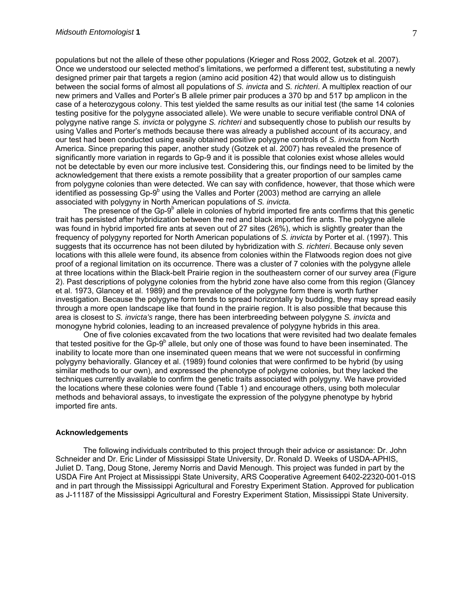populations but not the allele of these other populations (Krieger and Ross 2002, Gotzek et al. 2007). Once we understood our selected method's limitations, we performed a different test, substituting a newly designed primer pair that targets a region (amino acid position 42) that would allow us to distinguish between the social forms of almost all populations of *S. invicta* and *S. richteri*. A multiplex reaction of our new primers and Valles and Porter's B allele primer pair produces a 370 bp and 517 bp amplicon in the case of a heterozygous colony. This test yielded the same results as our initial test (the same 14 colonies testing positive for the polygyne associated allele). We were unable to secure verifiable control DNA of polygyne native range *S. invicta* or polygyne *S. richteri* and subsequently chose to publish our results by using Valles and Porter's methods because there was already a published account of its accuracy, and our test had been conducted using easily obtained positive polygyne controls of *S. invicta* from North America. Since preparing this paper, another study (Gotzek et al. 2007) has revealed the presence of significantly more variation in regards to Gp-9 and it is possible that colonies exist whose alleles would not be detectable by even our more inclusive test. Considering this, our findings need to be limited by the acknowledgement that there exists a remote possibility that a greater proportion of our samples came from polygyne colonies than were detected. We can say with confidence, however, that those which were identified as possessing  $Gp-9<sup>b</sup>$  using the Valles and Porter (2003) method are carrying an allele associated with polygyny in North American populations of *S. invicta*.

The presence of the Gp-9 $^{\circ}$  allele in colonies of hybrid imported fire ants confirms that this genetic trait has persisted after hybridization between the red and black imported fire ants. The polygyne allele was found in hybrid imported fire ants at seven out of 27 sites (26%), which is slightly greater than the frequency of polygyny reported for North American populations of *S. invicta* by Porter et al. (1997). This suggests that its occurrence has not been diluted by hybridization with *S. richteri*. Because only seven locations with this allele were found, its absence from colonies within the Flatwoods region does not give proof of a regional limitation on its occurrence. There was a cluster of 7 colonies with the polygyne allele at three locations within the Black-belt Prairie region in the southeastern corner of our survey area (Figure 2). Past descriptions of polygyne colonies from the hybrid zone have also come from this region (Glancey et al. 1973, Glancey et al. 1989) and the prevalence of the polygyne form there is worth further investigation. Because the polygyne form tends to spread horizontally by budding, they may spread easily through a more open landscape like that found in the prairie region. It is also possible that because this area is closest to *S. invicta's* range, there has been interbreeding between polygyne *S. invicta* and monogyne hybrid colonies, leading to an increased prevalence of polygyne hybrids in this area.

One of five colonies excavated from the two locations that were revisited had two dealate females that tested positive for the Gp-9<sup>b</sup> allele, but only one of those was found to have been inseminated. The inability to locate more than one inseminated queen means that we were not successful in confirming polygyny behaviorally. Glancey et al. (1989) found colonies that were confirmed to be hybrid (by using similar methods to our own), and expressed the phenotype of polygyne colonies, but they lacked the techniques currently available to confirm the genetic traits associated with polygyny. We have provided the locations where these colonies were found (Table 1) and encourage others, using both molecular methods and behavioral assays, to investigate the expression of the polygyne phenotype by hybrid imported fire ants.

#### **Acknowledgements**

The following individuals contributed to this project through their advice or assistance: Dr. John Schneider and Dr. Eric Linder of Mississippi State University, Dr. Ronald D. Weeks of USDA-APHIS, Juliet D. Tang, Doug Stone, Jeremy Norris and David Menough. This project was funded in part by the USDA Fire Ant Project at Mississippi State University, ARS Cooperative Agreement 6402-22320-001-01S and in part through the Mississippi Agricultural and Forestry Experiment Station. Approved for publication as J-11187 of the Mississippi Agricultural and Forestry Experiment Station, Mississippi State University.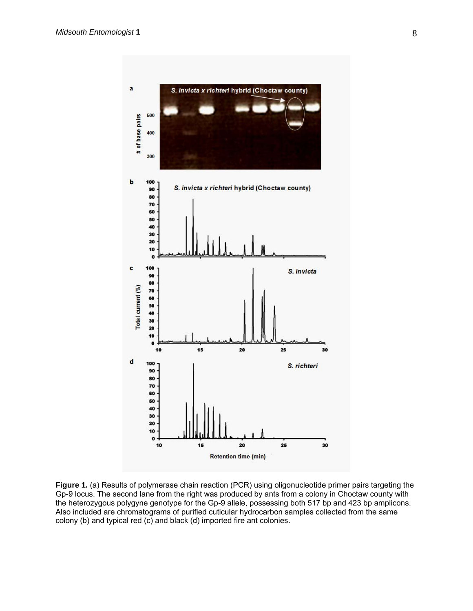

Figure 1. (a) Results of polymerase chain reaction (PCR) using oligonucleotide primer pairs targeting the Gp-9 locus. The second lane from the right was produced by ants from a colony in Choctaw county with the heterozygous polygyne genotype for the Gp-9 allele, possessing both 517 bp and 423 bp amplicons. Also included are chromatograms of purified cuticular hydrocarbon samples collected from the same colony (b) and typical red (c) and black (d) imported fire ant colonies.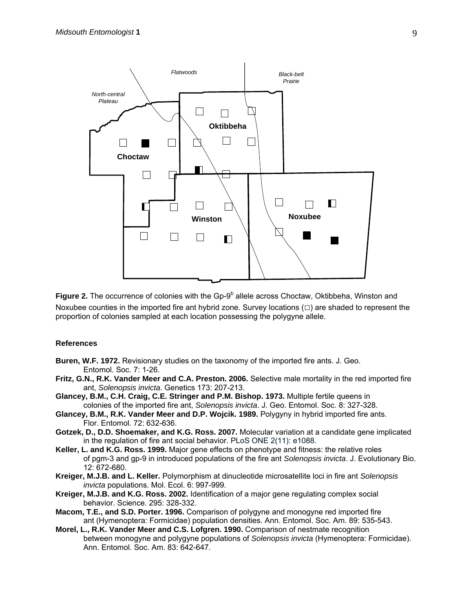

Figure 2. The occurrence of colonies with the Gp-9<sup>b</sup> allele across Choctaw, Oktibbeha, Winston and Noxubee counties in the imported fire ant hybrid zone. Survey locations  $(\square)$  are shaded to represent the proportion of colonies sampled at each location possessing the polygyne allele.

#### **References**

- **Buren, W.F. 1972.** Revisionary studies on the taxonomy of the imported fire ants. J. Geo. Entomol. Soc. 7: 1-26.
- **Fritz, G.N., R.K. Vander Meer and C.A. Preston. 2006.** Selective male mortality in the red imported fire ant, *Solenopsis invicta*. Genetics 173: 207-213.
- **Glancey, B.M., C.H. Craig, C.E. Stringer and P.M. Bishop. 1973.** Multiple fertile queens in colonies of the imported fire ant, *Solenopsis invicta*. J. Geo. Entomol. Soc. 8: 327-328.
- **Glancey, B.M., R.K. Vander Meer and D.P. Wojcik. 1989.** Polygyny in hybrid imported fire ants. Flor. Entomol. 72: 632-636.
- **Gotzek, D., D.D. Shoemaker, and K.G. Ross. 2007.** Molecular variation at a candidate gene implicated in the regulation of fire ant social behavior. PLoS ONE 2(11): e1088.
- **Keller, L. and K.G. Ross. 1999.** Major gene effects on phenotype and fitness: the relative roles of pgm-3 and gp-9 in introduced populations of the fire ant *Solenopsis invicta*. J. Evolutionary Bio. 12: 672-680.
- **Kreiger, M.J.B. and L. Keller.** Polymorphism at dinucleotide microsatellite loci in fire ant *Solenopsis invicta* populations. Mol. Ecol. 6: 997-999.
- **Kreiger, M.J.B. and K.G. Ross. 2002.** Identification of a major gene regulating complex social behavior. Science. 295: 328-332.
- **Macom, T.E., and S.D. Porter. 1996.** Comparison of polygyne and monogyne red imported fire ant (Hymenoptera: Formicidae) population densities. Ann. Entomol. Soc. Am. 89: 535-543.
- **Morel, L., R.K. Vander Meer and C.S. Lofgren. 1990.** Comparison of nestmate recognition between monogyne and polygyne populations of *Solenopsis invicta* (Hymenoptera: Formicidae). Ann. Entomol. Soc. Am. 83: 642-647.